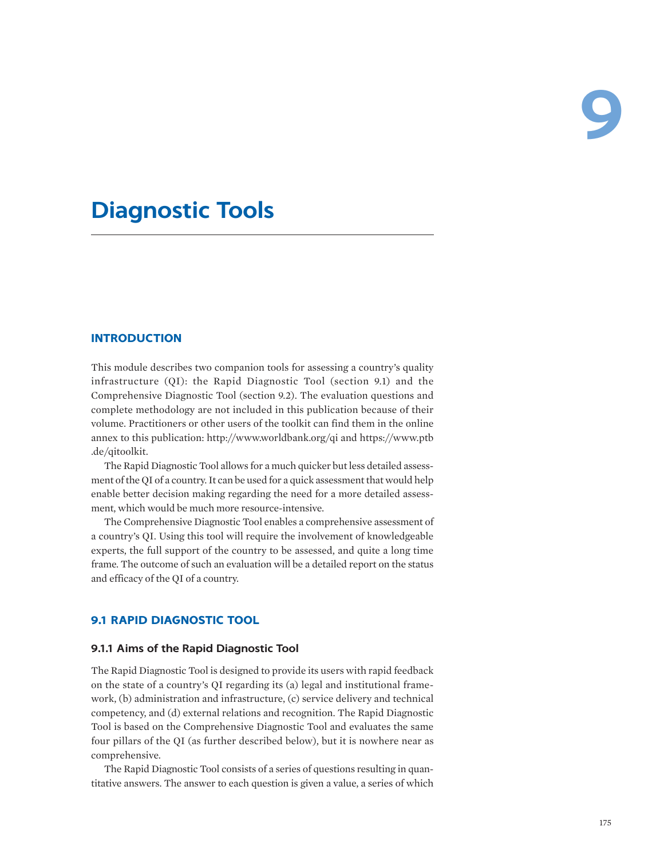# **Diagnostic Tools**

# **INTRODUCTION**

This module describes two companion tools for assessing a country's quality infrastructure (QI): the Rapid Diagnostic Tool (section 9.1) and the Comprehensive Diagnostic Tool (section 9.2). The evaluation questions and complete methodology are not included in this publication because of their volume. Practitioners or other users of the toolkit can find them in the online annex to this publication: <http://www.worldbank.org/qi>and [https://www.ptb](https://www.ptb.de/qitoolkit) [.de/qitoolkit.](https://www.ptb.de/qitoolkit)

The Rapid Diagnostic Tool allows for a much quicker but less detailed assessment of the QI of a country. It can be used for a quick assessment that would help enable better decision making regarding the need for a more detailed assessment, which would be much more resource-intensive.

The Comprehensive Diagnostic Tool enables a comprehensive assessment of a country's QI. Using this tool will require the involvement of knowledgeable experts, the full support of the country to be assessed, and quite a long time frame. The outcome of such an evaluation will be a detailed report on the status and efficacy of the QI of a country.

# **9.1 RAPID DIAGNOSTIC TOOL**

# **9.1.1 Aims of the Rapid Diagnostic Tool**

The Rapid Diagnostic Tool is designed to provide its users with rapid feedback on the state of a country's QI regarding its (a) legal and institutional framework, (b) administration and infrastructure, (c) service delivery and technical competency, and (d) external relations and recognition. The Rapid Diagnostic Tool is based on the Comprehensive Diagnostic Tool and evaluates the same four pillars of the QI (as further described below), but it is nowhere near as comprehensive.

The Rapid Diagnostic Tool consists of a series of questions resulting in quantitative answers. The answer to each question is given a value, a series of which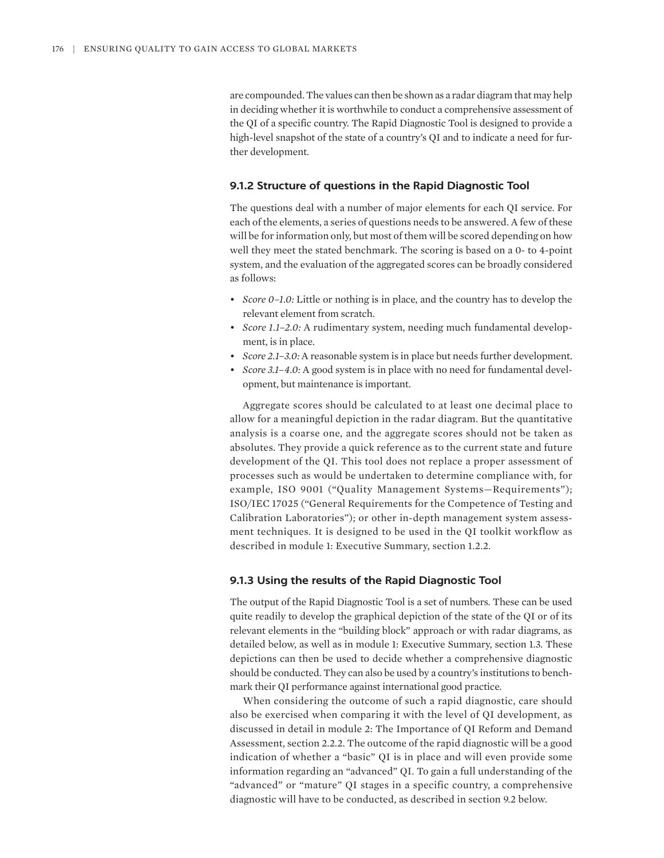are compounded. The values can then be shown as a radar diagram that may help in deciding whether it is worthwhile to conduct a comprehensive assessment of the QI of a specific country. The Rapid Diagnostic Tool is designed to provide a high-level snapshot of the state of a country's QI and to indicate a need for further development.

#### **9.1.2 Structure of questions in the Rapid Diagnostic Tool**

The questions deal with a number of major elements for each QI service. For each of the elements, a series of questions needs to be answered. A few of these will be for information only, but most of them will be scored depending on how well they meet the stated benchmark. The scoring is based on a 0- to 4-point system, and the evaluation of the aggregated scores can be broadly considered as follows:

- *Score 0–1.0:* Little or nothing is in place, and the country has to develop the relevant element from scratch.
- *Score 1.1–2.0:* A rudimentary system, needing much fundamental development, is in place.
- *Score 2.1–3.0:* A reasonable system is in place but needs further development.
- *Score 3.1–4.0:* A good system is in place with no need for fundamental development, but maintenance is important.

Aggregate scores should be calculated to at least one decimal place to allow for a meaningful depiction in the radar diagram. But the quantitative analysis is a coarse one, and the aggregate scores should not be taken as absolutes. They provide a quick reference as to the current state and future development of the QI. This tool does not replace a proper assessment of processes such as would be undertaken to determine compliance with, for example, ISO 9001 ("Quality Management Systems—Requirements"); ISO/IEC 17025 ("General Requirements for the Competence of Testing and Calibration Laboratories"); or other in-depth management system assessment techniques. It is designed to be used in the QI toolkit workflow as described in module 1: Executive Summary, section 1.2.2.

#### **9.1.3 Using the results of the Rapid Diagnostic Tool**

The output of the Rapid Diagnostic Tool is a set of numbers. These can be used quite readily to develop the graphical depiction of the state of the QI or of its relevant elements in the "building block" approach or with radar diagrams, as detailed below, as well as in module 1: Executive Summary, section 1.3. These depictions can then be used to decide whether a comprehensive diagnostic should be conducted. They can also be used by a country's institutions to benchmark their QI performance against international good practice.

When considering the outcome of such a rapid diagnostic, care should also be exercised when comparing it with the level of QI development, as discussed in detail in module 2: The Importance of QI Reform and Demand Assessment, section 2.2.2. The outcome of the rapid diagnostic will be a good indication of whether a "basic" QI is in place and will even provide some information regarding an "advanced" QI. To gain a full understanding of the "advanced" or "mature" QI stages in a specific country, a comprehensive diagnostic will have to be conducted, as described in section 9.2 below.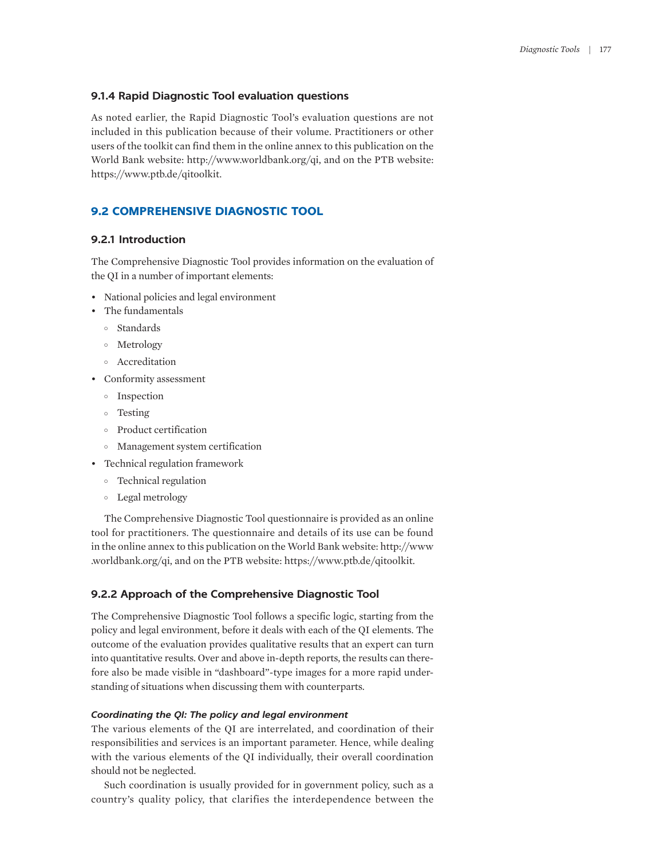## **9.1.4 Rapid Diagnostic Tool evaluation questions**

As noted earlier, the Rapid Diagnostic Tool's evaluation questions are not included in this publication because of their volume. Practitioners or other users of the toolkit can find them in the online annex to this publication on the World Bank website: <http://www.worldbank.org/qi>, and on the PTB website: <https://www.ptb.de/qitoolkit>.

# **9.2 COMPREHENSIVE DIAGNOSTIC TOOL**

# **9.2.1 Introduction**

The Comprehensive Diagnostic Tool provides information on the evaluation of the QI in a number of important elements:

- National policies and legal environment
- The fundamentals
	- ° Standards
	- ° Metrology
	- ° Accreditation
- Conformity assessment
	- ° Inspection
	- ° Testing
	- ° Product certification
	- ° Management system certification
- Technical regulation framework
	- ° Technical regulation
	- ° Legal metrology

The Comprehensive Diagnostic Tool questionnaire is provided as an online tool for practitioners. The questionnaire and details of its use can be found in the online annex to this publication on the World Bank website: [http://www](http://www.worldbank.org/qi) [.worldbank.org/qi,](http://www.worldbank.org/qi) and on the PTB website: [https://www.ptb.de/qitoolkit.](https://www.ptb.de/qitoolkit)

## **9.2.2 Approach of the Comprehensive Diagnostic Tool**

The Comprehensive Diagnostic Tool follows a specific logic, starting from the policy and legal environment, before it deals with each of the QI elements. The outcome of the evaluation provides qualitative results that an expert can turn into quantitative results. Over and above in-depth reports, the results can therefore also be made visible in "dashboard"-type images for a more rapid understanding of situations when discussing them with counterparts.

#### *Coordinating the QI: The policy and legal environment*

The various elements of the QI are interrelated, and coordination of their responsibilities and services is an important parameter. Hence, while dealing with the various elements of the QI individually, their overall coordination should not be neglected.

Such coordination is usually provided for in government policy, such as a country's quality policy, that clarifies the interdependence between the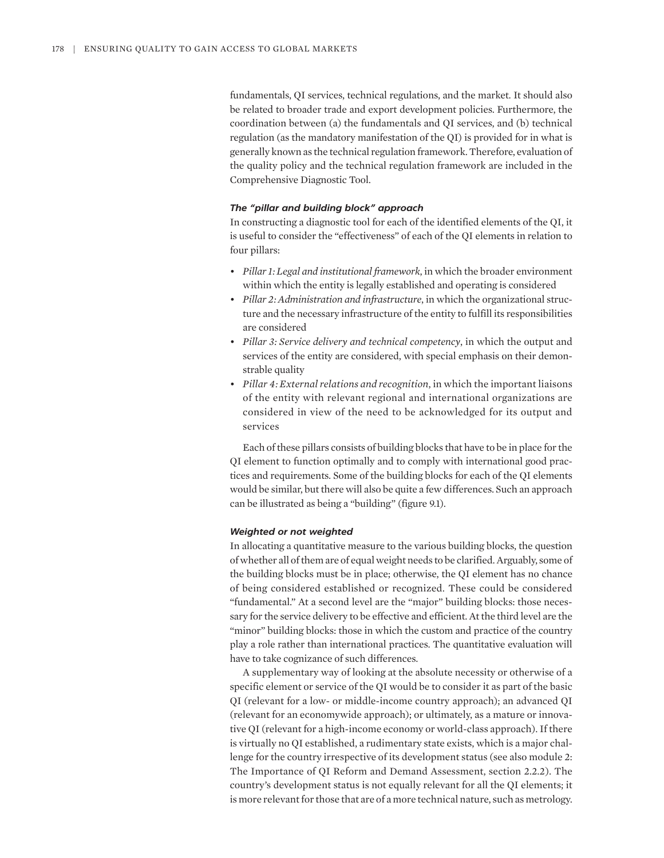fundamentals, QI services, technical regulations, and the market. It should also be related to broader trade and export development policies. Furthermore, the coordination between (a) the fundamentals and QI services, and (b) technical regulation (as the mandatory manifestation of the QI) is provided for in what is generally known as the technical regulation framework. Therefore, evaluation of the quality policy and the technical regulation framework are included in the Comprehensive Diagnostic Tool.

#### *The "pillar and building block" approach*

In constructing a diagnostic tool for each of the identified elements of the QI, it is useful to consider the "effectiveness" of each of the QI elements in relation to four pillars:

- *Pillar 1: Legal and institutional framework*, in which the broader environment within which the entity is legally established and operating is considered
- *Pillar 2: Administration and infrastructure*, in which the organizational structure and the necessary infrastructure of the entity to fulfill its responsibilities are considered
- *Pillar 3: Service delivery and technical competency*, in which the output and services of the entity are considered, with special emphasis on their demonstrable quality
- *Pillar 4: External relations and recognition*, in which the important liaisons of the entity with relevant regional and international organizations are considered in view of the need to be acknowledged for its output and services

Each of these pillars consists of building blocks that have to be in place for the QI element to function optimally and to comply with international good practices and requirements. Some of the building blocks for each of the QI elements would be similar, but there will also be quite a few differences. Such an approach can be illustrated as being a "building" (figure 9.1).

#### *Weighted or not weighted*

In allocating a quantitative measure to the various building blocks, the question of whether all of them are of equal weight needs to be clarified. Arguably, some of the building blocks must be in place; otherwise, the QI element has no chance of being considered established or recognized. These could be considered "fundamental." At a second level are the "major" building blocks: those necessary for the service delivery to be effective and efficient. At the third level are the "minor" building blocks: those in which the custom and practice of the country play a role rather than international practices. The quantitative evaluation will have to take cognizance of such differences.

A supplementary way of looking at the absolute necessity or otherwise of a specific element or service of the QI would be to consider it as part of the basic QI (relevant for a low- or middle-income country approach); an advanced QI (relevant for an economywide approach); or ultimately, as a mature or innovative QI (relevant for a high-income economy or world-class approach). If there is virtually no QI established, a rudimentary state exists, which is a major challenge for the country irrespective of its development status (see also module 2: The Importance of QI Reform and Demand Assessment, section 2.2.2). The country's development status is not equally relevant for all the QI elements; it is more relevant for those that are of a more technical nature, such as metrology.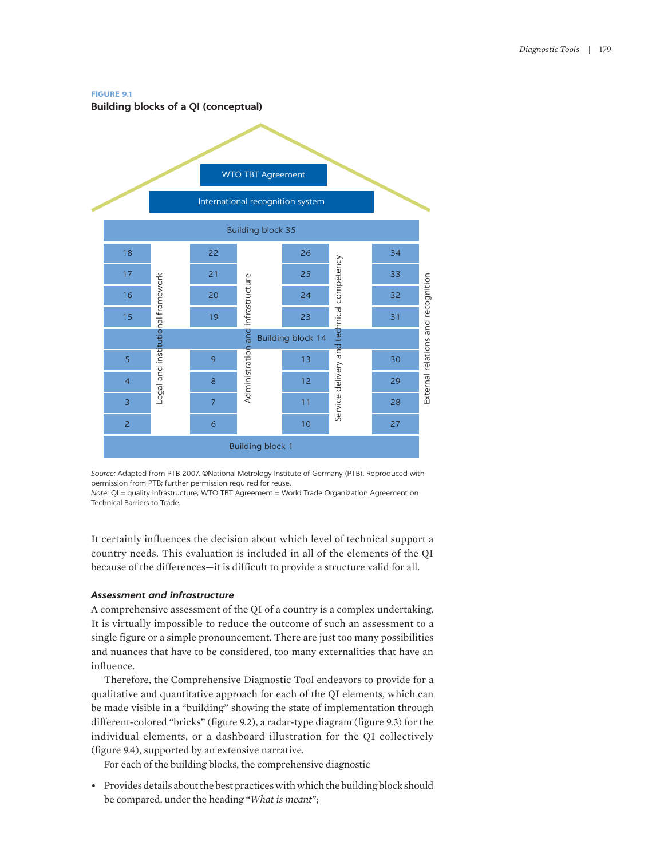#### **FIGURE 9.1**

**Building blocks of a QI (conceptual)**



*Source:* Adapted from PTB 2007. ©National Metrology Institute of Germany (PTB). Reproduced with permission from PTB; further permission required for reuse.

*Note:* QI = quality infrastructure; WTO TBT Agreement = World Trade Organization Agreement on Technical Barriers to Trade.

It certainly influences the decision about which level of technical support a country needs. This evaluation is included in all of the elements of the QI because of the differences—it is difficult to provide a structure valid for all.

## *Assessment and infrastructure*

A comprehensive assessment of the QI of a country is a complex undertaking. It is virtually impossible to reduce the outcome of such an assessment to a single figure or a simple pronouncement. There are just too many possibilities and nuances that have to be considered, too many externalities that have an influence.

Therefore, the Comprehensive Diagnostic Tool endeavors to provide for a qualitative and quantitative approach for each of the QI elements, which can be made visible in a "building" showing the state of implementation through different-colored "bricks" (figure 9.2), a radar-type diagram (figure 9.3) for the individual elements, or a dashboard illustration for the QI collectively (figure 9.4), supported by an extensive narrative.

For each of the building blocks, the comprehensive diagnostic

• Provides details about the best practices with which the building block should be compared, under the heading "*What is meant*";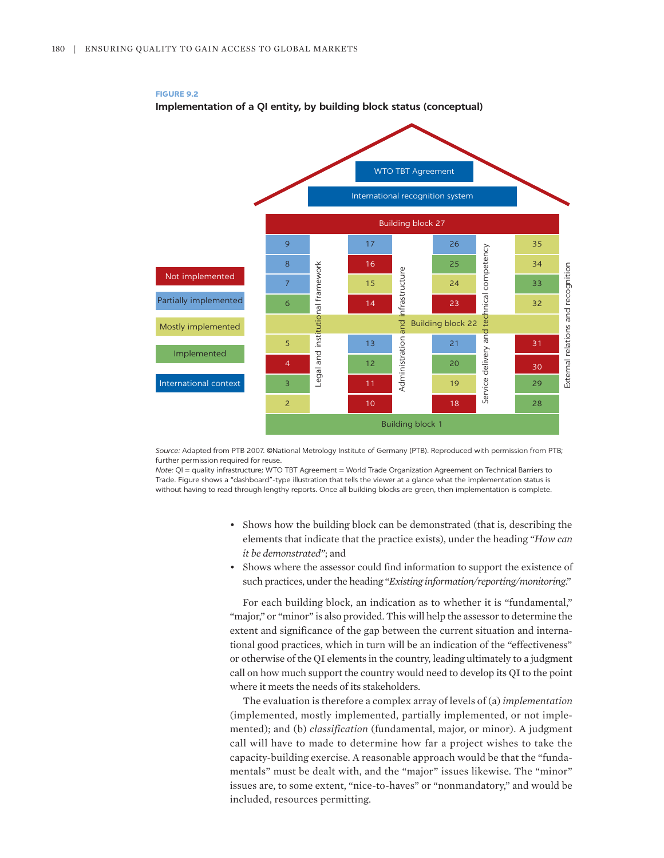



*Source:* Adapted from PTB 2007. ©National Metrology Institute of Germany (PTB). Reproduced with permission from PTB; further permission required for reuse.

*Note:* QI = quality infrastructure; WTO TBT Agreement = World Trade Organization Agreement on Technical Barriers to Trade. Figure shows a "dashboard"-type illustration that tells the viewer at a glance what the implementation status is without having to read through lengthy reports. Once all building blocks are green, then implementation is complete.

- Shows how the building block can be demonstrated (that is, describing the elements that indicate that the practice exists), under the heading "*How can it be demonstrated"*; and
- Shows where the assessor could find information to support the existence of such practices, under the heading "*Existing information/reporting/monitoring*."

For each building block, an indication as to whether it is "fundamental," "major," or "minor" is also provided. This will help the assessor to determine the extent and significance of the gap between the current situation and international good practices, which in turn will be an indication of the "effectiveness" or otherwise of the QI elements in the country, leading ultimately to a judgment call on how much support the country would need to develop its QI to the point where it meets the needs of its stakeholders.

The evaluation is therefore a complex array of levels of (a) *implementation* (implemented, mostly implemented, partially implemented, or not implemented); and (b) *classification* (fundamental, major, or minor). A judgment call will have to made to determine how far a project wishes to take the capacity-building exercise. A reasonable approach would be that the "fundamentals" must be dealt with, and the "major" issues likewise. The "minor" issues are, to some extent, "nice-to-haves" or "nonmandatory," and would be included, resources permitting.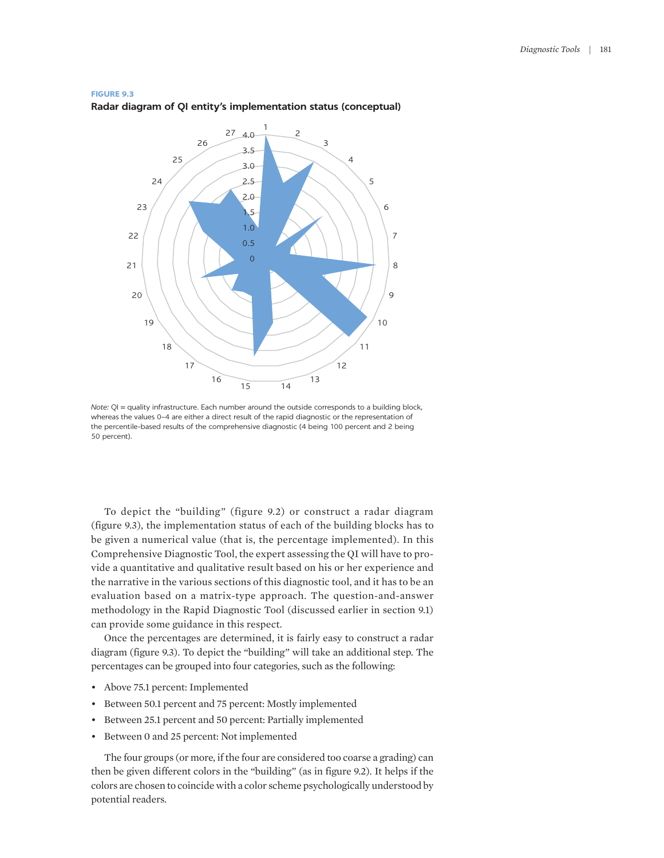#### **FIGURE 9.3**

#### **Radar diagram of QI entity's implementation status (conceptual)**



*Note:* QI = quality infrastructure. Each number around the outside corresponds to a building block, whereas the values 0–4 are either a direct result of the rapid diagnostic or the representation of the percentile-based results of the comprehensive diagnostic (4 being 100 percent and 2 being 50 percent).

To depict the "building" (figure 9.2) or construct a radar diagram (figure 9.3), the implementation status of each of the building blocks has to be given a numerical value (that is, the percentage implemented). In this Comprehensive Diagnostic Tool, the expert assessing the QI will have to provide a quantitative and qualitative result based on his or her experience and the narrative in the various sections of this diagnostic tool, and it has to be an evaluation based on a matrix-type approach. The question-and-answer methodology in the Rapid Diagnostic Tool (discussed earlier in section 9.1) can provide some guidance in this respect.

Once the percentages are determined, it is fairly easy to construct a radar diagram (figure 9.3). To depict the "building" will take an additional step. The percentages can be grouped into four categories, such as the following:

- Above 75.1 percent: Implemented
- Between 50.1 percent and 75 percent: Mostly implemented
- Between 25.1 percent and 50 percent: Partially implemented
- Between 0 and 25 percent: Not implemented

The four groups (or more, if the four are considered too coarse a grading) can then be given different colors in the "building" (as in figure 9.2). It helps if the colors are chosen to coincide with a color scheme psychologically understood by potential readers.